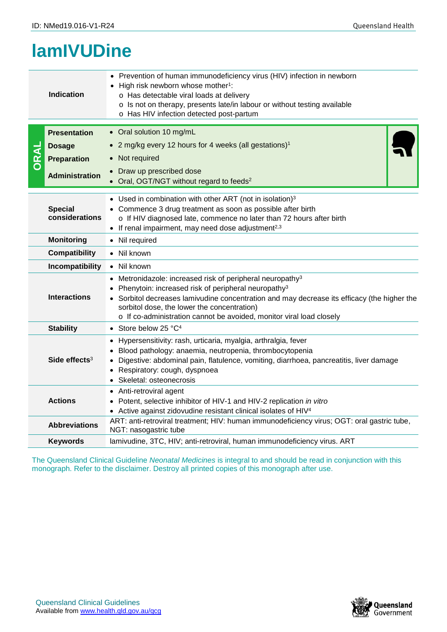## **lamIVUDine**

| <b>Indication</b>         |                                                                                                                                             | • Prevention of human immunodeficiency virus (HIV) infection in newborn<br>High risk newborn whose mother <sup>1</sup> :<br>o Has detectable viral loads at delivery<br>o Is not on therapy, presents late/in labour or without testing available<br>o Has HIV infection detected post-partum                                                                |  |  |  |
|---------------------------|---------------------------------------------------------------------------------------------------------------------------------------------|--------------------------------------------------------------------------------------------------------------------------------------------------------------------------------------------------------------------------------------------------------------------------------------------------------------------------------------------------------------|--|--|--|
| DRAI                      | <b>Presentation</b>                                                                                                                         | • Oral solution 10 mg/mL                                                                                                                                                                                                                                                                                                                                     |  |  |  |
|                           | <b>Dosage</b>                                                                                                                               | • 2 mg/kg every 12 hours for 4 weeks (all gestations) <sup>1</sup>                                                                                                                                                                                                                                                                                           |  |  |  |
|                           | <b>Preparation</b>                                                                                                                          | • Not required                                                                                                                                                                                                                                                                                                                                               |  |  |  |
|                           | <b>Administration</b>                                                                                                                       | Draw up prescribed dose<br>Oral, OGT/NGT without regard to feeds <sup>2</sup>                                                                                                                                                                                                                                                                                |  |  |  |
|                           | <b>Special</b><br>considerations                                                                                                            | • Used in combination with other ART (not in isolation) $3$<br>• Commence 3 drug treatment as soon as possible after birth<br>o If HIV diagnosed late, commence no later than 72 hours after birth<br>$\bullet$ If renal impairment, may need dose adjustment <sup>2,3</sup>                                                                                 |  |  |  |
|                           | <b>Monitoring</b>                                                                                                                           | • Nil required                                                                                                                                                                                                                                                                                                                                               |  |  |  |
|                           | <b>Compatibility</b>                                                                                                                        | • Nil known                                                                                                                                                                                                                                                                                                                                                  |  |  |  |
|                           | Incompatibility                                                                                                                             | • Nil known                                                                                                                                                                                                                                                                                                                                                  |  |  |  |
|                           | <b>Interactions</b>                                                                                                                         | Metronidazole: increased risk of peripheral neuropathy <sup>3</sup><br>Phenytoin: increased risk of peripheral neuropathy <sup>3</sup><br>• Sorbitol decreases lamivudine concentration and may decrease its efficacy (the higher the<br>sorbitol dose, the lower the concentration)<br>o If co-administration cannot be avoided, monitor viral load closely |  |  |  |
| <b>Stability</b>          |                                                                                                                                             | • Store below 25 $^{\circ}C^{4}$                                                                                                                                                                                                                                                                                                                             |  |  |  |
| Side effects <sup>3</sup> |                                                                                                                                             | • Hypersensitivity: rash, urticaria, myalgia, arthralgia, fever<br>Blood pathology: anaemia, neutropenia, thrombocytopenia<br>Digestive: abdominal pain, flatulence, vomiting, diarrhoea, pancreatitis, liver damage<br>Respiratory: cough, dyspnoea<br>• Skeletal: osteonecrosis                                                                            |  |  |  |
| <b>Actions</b>            |                                                                                                                                             | • Anti-retroviral agent<br>• Potent, selective inhibitor of HIV-1 and HIV-2 replication in vitro<br>• Active against zidovudine resistant clinical isolates of HIV <sup>4</sup>                                                                                                                                                                              |  |  |  |
|                           | ART: anti-retroviral treatment; HIV: human immunodeficiency virus; OGT: oral gastric tube,<br><b>Abbreviations</b><br>NGT: nasogastric tube |                                                                                                                                                                                                                                                                                                                                                              |  |  |  |
|                           | <b>Keywords</b>                                                                                                                             | lamivudine, 3TC, HIV; anti-retroviral, human immunodeficiency virus. ART                                                                                                                                                                                                                                                                                     |  |  |  |
|                           |                                                                                                                                             | The Queensland Clinical Guideline Neonatal Medicines is integral to and should be read in conjunction with this<br>monograph. Refer to the disclaimer. Destroy all printed copies of this monograph after use.                                                                                                                                               |  |  |  |